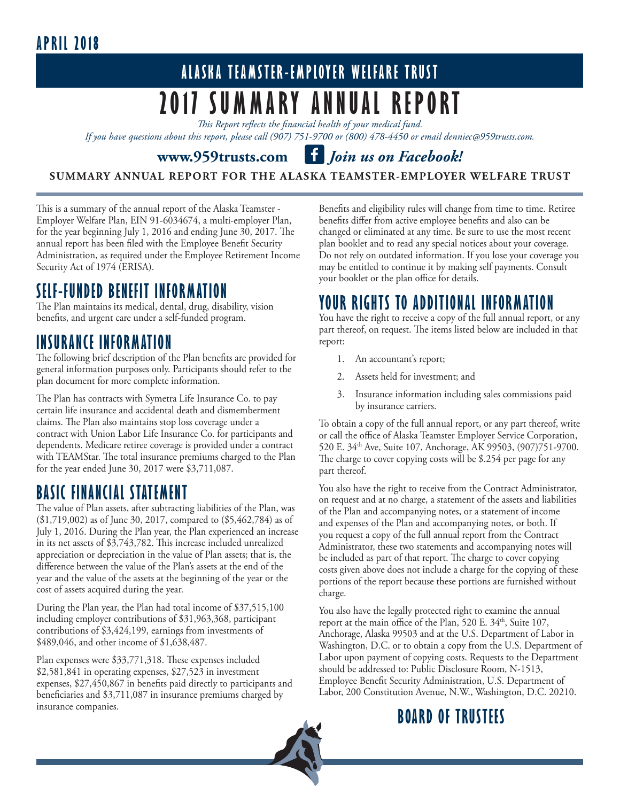### **APRIL 2018**

# **ALASKA TEAMSTER-EMPLOYER WELFARE TRUST 2017 SUMMARY ANNUAL REPORT**

*This Report reflects the financial health of your medical fund.* 

*If you have questions about this report, please call (907) 751-9700 or (800) 478-4450 or email denniec@959trusts.com.* 

#### **www.959trusts.com f** Join us on Facebook!

**SUMMARY ANNUAL REPORT FOR THE ALASKA TEAMSTER-EMPLOYER WELFARE TRUST**

This is a summary of the annual report of the Alaska Teamster - Employer Welfare Plan, EIN 91-6034674, a multi-employer Plan, for the year beginning July 1, 2016 and ending June 30, 2017. The annual report has been filed with the Employee Benefit Security Administration, as required under the Employee Retirement Income Security Act of 1974 (ERISA).

#### **SELF-FUNDED BENEFIT INFORMATION**

The Plan maintains its medical, dental, drug, disability, vision benefits, and urgent care under a self-funded program.

#### **INSURANCE INFORMATION**

The following brief description of the Plan benefits are provided for general information purposes only. Participants should refer to the plan document for more complete information.

The Plan has contracts with Symetra Life Insurance Co. to pay certain life insurance and accidental death and dismemberment claims. The Plan also maintains stop loss coverage under a contract with Union Labor Life Insurance Co. for participants and dependents. Medicare retiree coverage is provided under a contract with TEAMStar. The total insurance premiums charged to the Plan for the year ended June 30, 2017 were \$3,711,087.

#### **BASIC FINANCIAL STATEMENT**

The value of Plan assets, after subtracting liabilities of the Plan, was (\$1,719,002) as of June 30, 2017, compared to (\$5,462,784) as of July 1, 2016. During the Plan year, the Plan experienced an increase in its net assets of \$3,743,782. This increase included unrealized appreciation or depreciation in the value of Plan assets; that is, the difference between the value of the Plan's assets at the end of the year and the value of the assets at the beginning of the year or the cost of assets acquired during the year.

During the Plan year, the Plan had total income of \$37,515,100 including employer contributions of \$31,963,368, participant contributions of \$3,424,199, earnings from investments of \$489,046, and other income of \$1,638,487.

Plan expenses were \$33,771,318. These expenses included \$2,581,841 in operating expenses, \$27,523 in investment expenses, \$27,450,867 in benefits paid directly to participants and beneficiaries and \$3,711,087 in insurance premiums charged by insurance companies.

Benefits and eligibility rules will change from time to time. Retiree benefits differ from active employee benefits and also can be changed or eliminated at any time. Be sure to use the most recent plan booklet and to read any special notices about your coverage. Do not rely on outdated information. If you lose your coverage you may be entitled to continue it by making self payments. Consult your booklet or the plan office for details.

#### **YOUR RIGHTS TO ADDITIONAL INFORMATION**

You have the right to receive a copy of the full annual report, or any part thereof, on request. The items listed below are included in that report:

- 1. An accountant's report;
- 2. Assets held for investment; and
- 3. Insurance information including sales commissions paid by insurance carriers.

To obtain a copy of the full annual report, or any part thereof, write or call the office of Alaska Teamster Employer Service Corporation, 520 E. 34th Ave, Suite 107, Anchorage, AK 99503, (907)751-9700. The charge to cover copying costs will be \$.254 per page for any part thereof.

You also have the right to receive from the Contract Administrator, on request and at no charge, a statement of the assets and liabilities of the Plan and accompanying notes, or a statement of income and expenses of the Plan and accompanying notes, or both. If you request a copy of the full annual report from the Contract Administrator, these two statements and accompanying notes will be included as part of that report. The charge to cover copying costs given above does not include a charge for the copying of these portions of the report because these portions are furnished without charge.

You also have the legally protected right to examine the annual report at the main office of the Plan, 520 E. 34<sup>th</sup>, Suite 107, Anchorage, Alaska 99503 and at the U.S. Department of Labor in Washington, D.C. or to obtain a copy from the U.S. Department of Labor upon payment of copying costs. Requests to the Department should be addressed to: Public Disclosure Room, N-1513, Employee Benefit Security Administration, U.S. Department of Labor, 200 Constitution Avenue, N.W., Washington, D.C. 20210.

#### **BOARD OF TRUSTEES**